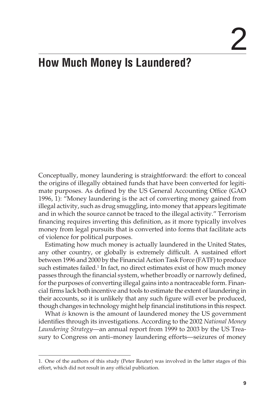# 2

## **How Much Money Is Laundered?**

Conceptually, money laundering is straightforward: the effort to conceal the origins of illegally obtained funds that have been converted for legitimate purposes. As defined by the US General Accounting Office (GAO 1996, 1): "Money laundering is the act of converting money gained from illegal activity, such as drug smuggling, into money that appears legitimate and in which the source cannot be traced to the illegal activity." Terrorism financing requires inverting this definition, as it more typically involves money from legal pursuits that is converted into forms that facilitate acts of violence for political purposes.

Estimating how much money is actually laundered in the United States, any other country, or globally is extremely difficult. A sustained effort between 1996 and 2000 by the Financial Action Task Force (FATF) to produce such estimates failed.<sup>1</sup> In fact, no direct estimates exist of how much money passes through the financial system, whether broadly or narrowly defined, for the purposes of converting illegal gains into a nontraceable form. Financial firms lack both incentive and tools to estimate the extent of laundering in their accounts, so it is unlikely that any such figure will ever be produced, though changes in technology might help financial institutions in this respect.

What *is* known is the amount of laundered money the US government identifies through its investigations. According to the 2002 *National Money Laundering Strategy*—an annual report from 1999 to 2003 by the US Treasury to Congress on anti–money laundering efforts—seizures of money

<sup>1.</sup> One of the authors of this study (Peter Reuter) was involved in the latter stages of this effort, which did not result in any official publication.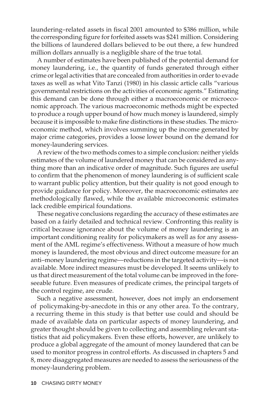laundering–related assets in fiscal 2001 amounted to \$386 million, while the corresponding figure for forfeited assets was \$241 million. Considering the billions of laundered dollars believed to be out there, a few hundred million dollars annually is a negligible share of the true total.

A number of estimates have been published of the potential demand for money laundering, i.e., the quantity of funds generated through either crime or legal activities that are concealed from authorities in order to evade taxes as well as what Vito Tanzi (1980) in his classic article calls "various governmental restrictions on the activities of economic agents." Estimating this demand can be done through either a macroeconomic or microeconomic approach. The various macroeconomic methods might be expected to produce a rough upper bound of how much money is laundered, simply because it is impossible to make fine distinctions in these studies. The microeconomic method, which involves summing up the income generated by major crime categories, provides a loose lower bound on the demand for money-laundering services.

A review of the two methods comes to a simple conclusion: neither yields estimates of the volume of laundered money that can be considered as anything more than an indicative order of magnitude. Such figures are useful to confirm that the phenomenon of money laundering is of sufficient scale to warrant public policy attention, but their quality is not good enough to provide guidance for policy. Moreover, the macroeconomic estimates are methodologically flawed, while the available microeconomic estimates lack credible empirical foundations.

These negative conclusions regarding the accuracy of these estimates are based on a fairly detailed and technical review. Confronting this reality is critical because ignorance about the volume of money laundering is an important conditioning reality for policymakers as well as for any assessment of the AML regime's effectiveness. Without a measure of how much money is laundered, the most obvious and direct outcome measure for an anti–money laundering regime—reductions in the targeted activity—is not available. More indirect measures must be developed. It seems unlikely to us that direct measurement of the total volume can be improved in the foreseeable future. Even measures of predicate crimes, the principal targets of the control regime, are crude.

Such a negative assessment, however, does not imply an endorsement of policymaking-by-anecdote in this or any other area. To the contrary, a recurring theme in this study is that better use could and should be made of available data on particular aspects of money laundering, and greater thought should be given to collecting and assembling relevant statistics that aid policymakers. Even these efforts, however, are unlikely to produce a global aggregate of the amount of money laundered that can be used to monitor progress in control efforts. As discussed in chapters 5 and 8, more disaggregated measures are needed to assess the seriousness of the money-laundering problem.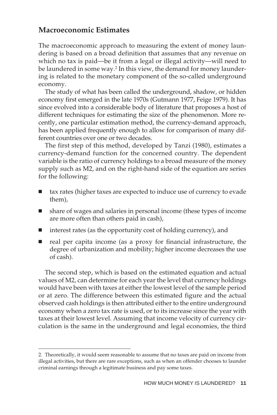### **Macroeconomic Estimates**

The macroeconomic approach to measuring the extent of money laundering is based on a broad definition that assumes that any revenue on which no tax is paid—be it from a legal or illegal activity—will need to be laundered in some way.2 In this view, the demand for money laundering is related to the monetary component of the so-called underground economy.

The study of what has been called the underground, shadow, or hidden economy first emerged in the late 1970s (Gutmann 1977, Feige 1979). It has since evolved into a considerable body of literature that proposes a host of different techniques for estimating the size of the phenomenon. More recently, one particular estimation method, the currency-demand approach, has been applied frequently enough to allow for comparison of many different countries over one or two decades.

The first step of this method, developed by Tanzi (1980), estimates a currency-demand function for the concerned country. The dependent variable is the ratio of currency holdings to a broad measure of the money supply such as M2, and on the right-hand side of the equation are series for the following:

- tax rates (higher taxes are expected to induce use of currency to evade them),
- share of wages and salaries in personal income (these types of income are more often than others paid in cash),
- interest rates (as the opportunity cost of holding currency), and
- real per capita income (as a proxy for financial infrastructure, the degree of urbanization and mobility; higher income decreases the use of cash).

The second step, which is based on the estimated equation and actual values of M2, can determine for each year the level that currency holdings would have been with taxes at either the lowest level of the sample period or at zero. The difference between this estimated figure and the actual observed cash holdings is then attributed either to the entire underground economy when a zero tax rate is used, or to its increase since the year with taxes at their lowest level. Assuming that income velocity of currency circulation is the same in the underground and legal economies, the third

<sup>2.</sup> Theoretically, it would seem reasonable to assume that no taxes are paid on income from illegal activities, but there are rare exceptions, such as when an offender chooses to launder criminal earnings through a legitimate business and pay some taxes.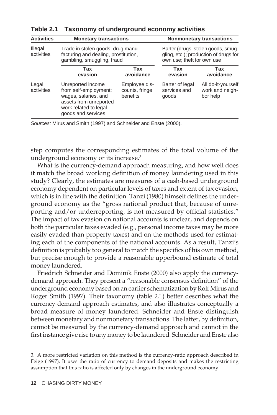| Trade in stolen goods, drug manu-<br>facturing and dealing, prostitution,<br>gambling, smuggling, fraud                                     |                                             | Barter (drugs, stolen goods, smug-<br>gling, etc.); production of drugs for<br>own use; theft for own use |                                                   |
|---------------------------------------------------------------------------------------------------------------------------------------------|---------------------------------------------|-----------------------------------------------------------------------------------------------------------|---------------------------------------------------|
| Tax<br>evasion                                                                                                                              | Tax<br>avoidance                            | Tax<br>evasion                                                                                            | Tax<br>avoidance                                  |
| Unreported income<br>from self-employment;<br>wages, salaries, and<br>assets from unreported<br>work related to legal<br>goods and services | Employee dis-<br>counts, fringe<br>benefits | Barter of legal<br>services and<br>goods                                                                  | All do-it-yourself<br>work and neigh-<br>bor help |
|                                                                                                                                             |                                             |                                                                                                           |                                                   |

**Table 2.1 Taxonomy of underground economy activities**

Sources: Mirus and Smith (1997) and Schneider and Enste (2000).

step computes the corresponding estimates of the total volume of the underground economy or its increase.3

What is the currency-demand approach measuring, and how well does it match the broad working definition of money laundering used in this study? Clearly, the estimates are measures of a cash-based underground economy dependent on particular levels of taxes and extent of tax evasion, which is in line with the definition. Tanzi (1980) himself defines the underground economy as the "gross national product that, because of unreporting and/or underreporting, is not measured by official statistics." The impact of tax evasion on national accounts is unclear, and depends on both the particular taxes evaded (e.g., personal income taxes may be more easily evaded than property taxes) and on the methods used for estimating each of the components of the national accounts. As a result, Tanzi's definition is probably too general to match the specifics of his own method, but precise enough to provide a reasonable upperbound estimate of total money laundered.

Friedrich Schneider and Dominik Enste (2000) also apply the currencydemand approach. They present a "reasonable consensus definition" of the underground economy based on an earlier schematization by Rolf Mirus and Roger Smith (1997). Their taxonomy (table 2.1) better describes what the currency-demand approach estimates, and also illustrates conceptually a broad measure of money laundered. Schneider and Enste distinguish between monetary and nonmonetary transactions. The latter, by definition, cannot be measured by the currency-demand approach and cannot in the first instance give rise to any money to be laundered. Schneider and Enste also

<sup>3.</sup> A more restricted variation on this method is the currency-ratio approach described in Feige (1997). It uses the ratio of currency to demand deposits and makes the restricting assumption that this ratio is affected only by changes in the underground economy.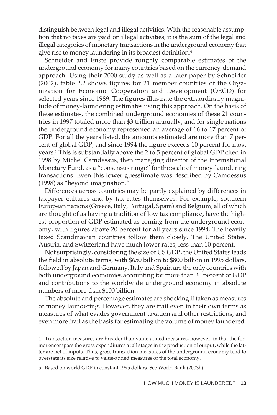distinguish between legal and illegal activities. With the reasonable assumption that no taxes are paid on illegal activities, it is the sum of the legal and illegal categories of monetary transactions in the underground economy that give rise to money laundering in its broadest definition.4

Schneider and Enste provide roughly comparable estimates of the underground economy for many countries based on the currency-demand approach. Using their 2000 study as well as a later paper by Schneider (2002), table 2.2 shows figures for 21 member countries of the Organization for Economic Cooperation and Development (OECD) for selected years since 1989. The figures illustrate the extraordinary magnitude of money-laundering estimates using this approach. On the basis of these estimates, the combined underground economies of these 21 countries in 1997 totaled more than \$3 trillion annually, and for single nations the underground economy represented an average of 16 to 17 percent of GDP. For all the years listed, the amounts estimated are more than 7 percent of global GDP, and since 1994 the figure exceeds 10 percent for most years.5 This is substantially above the 2 to 5 percent of global GDP cited in 1998 by Michel Camdessus, then managing director of the International Monetary Fund, as a "consensus range" for the scale of money-laundering transactions. Even this lower guesstimate was described by Camdessus (1998) as "beyond imagination."

Differences across countries may be partly explained by differences in taxpayer cultures and by tax rates themselves. For example, southern European nations (Greece, Italy, Portugal, Spain) and Belgium, all of which are thought of as having a tradition of low tax compliance, have the highest proportion of GDP estimated as coming from the underground economy, with figures above 20 percent for all years since 1994. The heavily taxed Scandinavian countries follow them closely. The United States, Austria, and Switzerland have much lower rates, less than 10 percent.

Not surprisingly, considering the size of US GDP, the United States leads the field in absolute terms, with \$650 billion to \$800 billion in 1995 dollars, followed by Japan and Germany. Italy and Spain are the only countries with both underground economies accounting for more than 20 percent of GDP and contributions to the worldwide underground economy in absolute numbers of more than \$100 billion.

The absolute and percentage estimates are shocking if taken as measures of money laundering. However, they are frail even in their own terms as measures of what evades government taxation and other restrictions, and even more frail as the basis for estimating the volume of money laundered.

<sup>4.</sup> Transaction measures are broader than value-added measures, however, in that the former encompass the gross expenditures at all stages in the production of output, while the latter are net of inputs. Thus, gross transaction measures of the underground economy tend to overstate its size relative to value-added measures of the total economy.

<sup>5.</sup> Based on world GDP in constant 1995 dollars. See World Bank (2003b).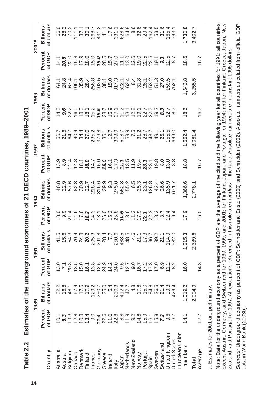Estimates of the underground economies of 21 OECD countries, 1989-2001 **Table 2.2 Estimates of the underground economies of 21 OECD countries, 1989–2001** Table 2.2

|                                                                   |                                                                                                                                                                                                                                                                                                                                                                                                                                                                                                                   | 989                                                                                   |                                                                                                                    | 199                 |                   | 1994                |                                                                                                    | 1997                |                   | 1999               |                   | 2001ª                  |
|-------------------------------------------------------------------|-------------------------------------------------------------------------------------------------------------------------------------------------------------------------------------------------------------------------------------------------------------------------------------------------------------------------------------------------------------------------------------------------------------------------------------------------------------------------------------------------------------------|---------------------------------------------------------------------------------------|--------------------------------------------------------------------------------------------------------------------|---------------------|-------------------|---------------------|----------------------------------------------------------------------------------------------------|---------------------|-------------------|--------------------|-------------------|------------------------|
| Country                                                           | of GDP<br>Percent                                                                                                                                                                                                                                                                                                                                                                                                                                                                                                 | dollars<br>Billions                                                                   | Percent<br>of GDP                                                                                                  | dollars<br>Billions | Percent<br>of GDP | dollars<br>Billions | Percent<br>of GDP                                                                                  | dollars<br>Billions | Percent<br>of GDP | Billions<br>dollar | Percent<br>of GDP | of dollars<br>Billions |
| Australia                                                         | 10.1                                                                                                                                                                                                                                                                                                                                                                                                                                                                                                              |                                                                                       |                                                                                                                    |                     |                   |                     |                                                                                                    |                     |                   |                    |                   |                        |
|                                                                   |                                                                                                                                                                                                                                                                                                                                                                                                                                                                                                                   |                                                                                       |                                                                                                                    |                     |                   |                     |                                                                                                    |                     |                   |                    |                   |                        |
|                                                                   |                                                                                                                                                                                                                                                                                                                                                                                                                                                                                                                   |                                                                                       |                                                                                                                    |                     |                   |                     |                                                                                                    |                     |                   |                    |                   |                        |
| Austria<br>Belgium<br>Canada<br>Denmark<br>Finland                | $\begin{array}{l} \texttt{a} \overset{\sim}{\texttt{a}} \overset{\sim}{\texttt{c}} \overset{\sim}{\texttt{c}} \overset{\sim}{\texttt{c}} \overset{\sim}{\texttt{c}} \overset{\sim}{\texttt{c}} \overset{\sim}{\texttt{c}} \overset{\sim}{\texttt{c}} \overset{\sim}{\texttt{c}} \overset{\sim}{\texttt{c}} \overset{\sim}{\texttt{c}} \overset{\sim}{\texttt{c}} \overset{\sim}{\texttt{c}} \overset{\sim}{\texttt{c}} \overset{\sim}{\texttt{c}} \overset{\sim}{\texttt{c}} \overset{\sim}{\texttt{c}} \overset$ | sta principa da região da<br>Sta principa distrituta do si<br>Sta principa distrituto | ciri e cine cine di strippe di cine cine di contro di contro<br>ciri e cine cine di cine di cine di contro di cine |                     |                   |                     | co co co co co co co co co co co<br>co co co co co co co co co co<br>co co co co co co co co co co |                     |                   |                    |                   |                        |
|                                                                   |                                                                                                                                                                                                                                                                                                                                                                                                                                                                                                                   |                                                                                       |                                                                                                                    |                     |                   |                     |                                                                                                    |                     |                   |                    |                   |                        |
|                                                                   |                                                                                                                                                                                                                                                                                                                                                                                                                                                                                                                   |                                                                                       |                                                                                                                    |                     |                   |                     |                                                                                                    |                     |                   |                    |                   |                        |
|                                                                   |                                                                                                                                                                                                                                                                                                                                                                                                                                                                                                                   |                                                                                       |                                                                                                                    |                     |                   |                     |                                                                                                    |                     |                   |                    |                   |                        |
|                                                                   |                                                                                                                                                                                                                                                                                                                                                                                                                                                                                                                   |                                                                                       |                                                                                                                    |                     |                   |                     |                                                                                                    |                     |                   |                    |                   |                        |
|                                                                   |                                                                                                                                                                                                                                                                                                                                                                                                                                                                                                                   |                                                                                       |                                                                                                                    |                     |                   |                     |                                                                                                    |                     |                   |                    |                   |                        |
|                                                                   |                                                                                                                                                                                                                                                                                                                                                                                                                                                                                                                   |                                                                                       |                                                                                                                    |                     |                   |                     |                                                                                                    |                     |                   |                    |                   |                        |
| France<br>Germany<br>Greece<br>Ireland<br>Italy                   |                                                                                                                                                                                                                                                                                                                                                                                                                                                                                                                   |                                                                                       |                                                                                                                    |                     |                   |                     |                                                                                                    |                     |                   |                    |                   |                        |
|                                                                   |                                                                                                                                                                                                                                                                                                                                                                                                                                                                                                                   |                                                                                       |                                                                                                                    |                     |                   |                     |                                                                                                    |                     |                   |                    |                   |                        |
|                                                                   |                                                                                                                                                                                                                                                                                                                                                                                                                                                                                                                   |                                                                                       |                                                                                                                    |                     |                   |                     |                                                                                                    |                     |                   |                    |                   |                        |
| Japan<br>Netherlands<br>New Zealand                               |                                                                                                                                                                                                                                                                                                                                                                                                                                                                                                                   |                                                                                       |                                                                                                                    |                     |                   |                     |                                                                                                    |                     |                   |                    |                   |                        |
| Norway<br>Portugal                                                |                                                                                                                                                                                                                                                                                                                                                                                                                                                                                                                   |                                                                                       |                                                                                                                    |                     |                   |                     |                                                                                                    |                     |                   |                    |                   |                        |
|                                                                   |                                                                                                                                                                                                                                                                                                                                                                                                                                                                                                                   |                                                                                       |                                                                                                                    |                     |                   |                     |                                                                                                    |                     |                   |                    |                   |                        |
|                                                                   |                                                                                                                                                                                                                                                                                                                                                                                                                                                                                                                   |                                                                                       |                                                                                                                    |                     |                   |                     |                                                                                                    |                     |                   |                    |                   |                        |
| Spain<br>Sweden<br>Switzerland<br>United Kingdom<br>United States |                                                                                                                                                                                                                                                                                                                                                                                                                                                                                                                   |                                                                                       |                                                                                                                    |                     |                   |                     |                                                                                                    |                     |                   |                    |                   |                        |
|                                                                   |                                                                                                                                                                                                                                                                                                                                                                                                                                                                                                                   |                                                                                       |                                                                                                                    |                     |                   |                     |                                                                                                    |                     |                   |                    |                   |                        |
|                                                                   |                                                                                                                                                                                                                                                                                                                                                                                                                                                                                                                   |                                                                                       |                                                                                                                    |                     |                   |                     |                                                                                                    |                     |                   |                    |                   |                        |
|                                                                   |                                                                                                                                                                                                                                                                                                                                                                                                                                                                                                                   |                                                                                       |                                                                                                                    |                     |                   |                     |                                                                                                    |                     |                   |                    |                   |                        |
| uropean Union                                                     |                                                                                                                                                                                                                                                                                                                                                                                                                                                                                                                   |                                                                                       |                                                                                                                    |                     |                   |                     |                                                                                                    |                     |                   |                    |                   |                        |
| members                                                           |                                                                                                                                                                                                                                                                                                                                                                                                                                                                                                                   | 019.2                                                                                 | 16.0                                                                                                               | ,215.3              | 17.9              | ,366.6              | 18.8                                                                                               | ,552.4              | 18.6              | 1,643.             | 18.6              | 1,730.8                |
| <b>Total</b>                                                      |                                                                                                                                                                                                                                                                                                                                                                                                                                                                                                                   | 2,004.9                                                                               |                                                                                                                    | ,389.6              |                   | 2,778.              |                                                                                                    | 3,081.4             |                   | 3,255.             |                   | 3,402.                 |
| Average                                                           | 12.7                                                                                                                                                                                                                                                                                                                                                                                                                                                                                                              |                                                                                       | 14.3                                                                                                               |                     | 16.0              |                     | $-20$                                                                                              |                     | 16.7              |                    | 16.7              |                        |
|                                                                   |                                                                                                                                                                                                                                                                                                                                                                                                                                                                                                                   |                                                                                       |                                                                                                                    |                     |                   |                     |                                                                                                    |                     |                   |                    |                   |                        |

a. Estimates for 2001 are preliminary. a. Estimates for 2001 are preliminary. Note: Data for the underground economy as a percent of GDP are the average of the cited and the following year for all countries for 1991; all countries except Austria, Germany, and Switzerland for 1989, 1999, and 2001; for Finland, Japan, and Portugal for 1994; and for Finland, Greece, Japan, New Note: Data for the underground economy as a percent of GDP are the average of the cited and the following year for all countries for 1991; all countries except Austria, Germany, and Switzerland for 1989, 1999, and 2001; for Finland, Japan, and Portugal for 1994; and for Finland, Greece, Japan, New Zealand, and Portugal for 1997. All exceptions referenced in this note are in *italics* in the table. Absolute numbers are in constant 1995 dollars. Zealand, and Portugal for 1997. All exceptions referenced in this note are in **italics** in the table. Absolute numbers are in constant 1995 dollars. Sources: Underground economy as percent of GDP: Schneider and Enste (2000) and Schneider (2002). Absolute numbers calculated from official GDP Sources: Underground economy as percent of GDP: Schneider and Enste (2000) and Schneider (2002). Absolute numbers calculated from official GDP data in World Bank (2003b). data in World Bank (2003b).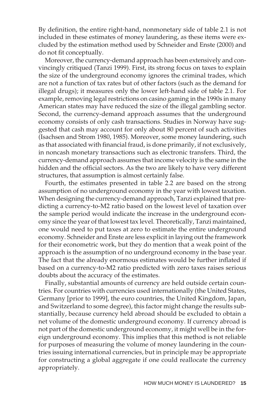By definition, the entire right-hand, nonmonetary side of table 2.1 is not included in these estimates of money laundering, as these items were excluded by the estimation method used by Schneider and Enste (2000) and do not fit conceptually.

Moreover, the currency-demand approach has been extensively and convincingly critiqued (Tanzi 1999). First, its strong focus on taxes to explain the size of the underground economy ignores the criminal trades, which are not a function of tax rates but of other factors (such as the demand for illegal drugs); it measures only the lower left-hand side of table 2.1. For example, removing legal restrictions on casino gaming in the 1990s in many American states may have reduced the size of the illegal gambling sector. Second, the currency-demand approach assumes that the underground economy consists of only cash transactions. Studies in Norway have suggested that cash may account for only about 80 percent of such activities (Isachsen and Strom 1980, 1985). Moreover, some money laundering, such as that associated with financial fraud, is done primarily, if not exclusively, in noncash monetary transactions such as electronic transfers. Third, the currency-demand approach assumes that income velocity is the same in the hidden and the official sectors. As the two are likely to have very different structures, that assumption is almost certainly false.

Fourth, the estimates presented in table 2.2 are based on the strong assumption of no underground economy in the year with lowest taxation. When designing the currency-demand approach, Tanzi explained that predicting a currency-to-M2 ratio based on the lowest level of taxation over the sample period would indicate the increase in the underground economy since the year of that lowest tax level. Theoretically, Tanzi maintained, one would need to put taxes at zero to estimate the entire underground economy. Schneider and Enste are less explicit in laying out the framework for their econometric work, but they do mention that a weak point of the approach is the assumption of no underground economy in the base year. The fact that the already enormous estimates would be further inflated if based on a currency-to-M2 ratio predicted with zero taxes raises serious doubts about the accuracy of the estimates.

Finally, substantial amounts of currency are held outside certain countries. For countries with currencies used internationally (the United States, Germany [prior to 1999], the euro countries, the United Kingdom, Japan, and Switzerland to some degree), this factor might change the results substantially, because currency held abroad should be excluded to obtain a net volume of the domestic underground economy. If currency abroad is not part of the domestic underground economy, it might well be in the foreign underground economy. This implies that this method is not reliable for purposes of measuring the volume of money laundering in the countries issuing international currencies, but in principle may be appropriate for constructing a global aggregate if one could reallocate the currency appropriately.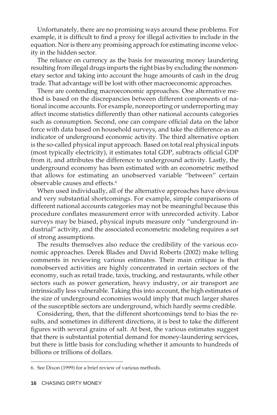Unfortunately, there are no promising ways around these problems. For example, it is difficult to find a proxy for illegal activities to include in the equation. Nor is there any promising approach for estimating income velocity in the hidden sector.

The reliance on currency as the basis for measuring money laundering resulting from illegal drugs imparts the right bias by excluding the nonmonetary sector and taking into account the huge amounts of cash in the drug trade. That advantage will be lost with other macroeconomic approaches.

There are contending macroeconomic approaches. One alternative method is based on the discrepancies between different components of national income accounts. For example, nonreporting or underreporting may affect income statistics differently than other national accounts categories such as consumption. Second, one can compare official data on the labor force with data based on household surveys, and take the difference as an indicator of underground economic activity. The third alternative option is the so-called physical input approach. Based on total real physical inputs (most typically electricity), it estimates total GDP, subtracts official GDP from it, and attributes the difference to underground activity. Lastly, the underground economy has been estimated with an econometric method that allows for estimating an unobserved variable "between" certain observable causes and effects.6

When used individually, all of the alternative approaches have obvious and very substantial shortcomings. For example, simple comparisons of different national accounts categories may not be meaningful because this procedure conflates measurement error with unrecorded activity. Labor surveys may be biased, physical inputs measure only "underground industrial" activity, and the associated econometric modeling requires a set of strong assumptions.

The results themselves also reduce the credibility of the various economic approaches. Derek Blades and David Roberts (2002) make telling comments in reviewing various estimates. Their main critique is that nonobserved activities are highly concentrated in certain sectors of the economy, such as retail trade, taxis, trucking, and restaurants, while other sectors such as power generation, heavy industry, or air transport are intrinsically less vulnerable. Taking this into account, the high estimates of the size of underground economies would imply that much larger shares of the susceptible sectors are underground, which hardly seems credible.

Considering, then, that the different shortcomings tend to bias the results, and sometimes in different directions, it is best to take the different figures with several grains of salt. At best, the various estimates suggest that there is substantial potential demand for money-laundering services, but there is little basis for concluding whether it amounts to hundreds of billions or trillions of dollars.

<sup>6.</sup> See Dixon (1999) for a brief review of various methods.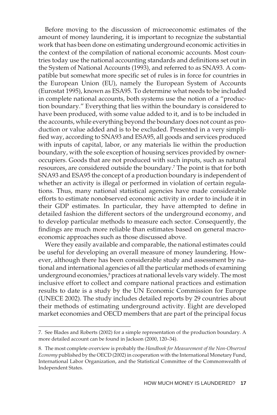Before moving to the discussion of microeconomic estimates of the amount of money laundering, it is important to recognize the substantial work that has been done on estimating underground economic activities in the context of the compilation of national economic accounts. Most countries today use the national accounting standards and definitions set out in the System of National Accounts (1993), and referred to as SNA93. A compatible but somewhat more specific set of rules is in force for countries in the European Union (EU), namely the European System of Accounts (Eurostat 1995), known as ESA95. To determine what needs to be included in complete national accounts, both systems use the notion of a "production boundary." Everything that lies within the boundary is considered to have been produced, with some value added to it, and is to be included in the accounts, while everything beyond the boundary does not count as production or value added and is to be excluded. Presented in a very simplified way, according to SNA93 and ESA95, all goods and services produced with inputs of capital, labor, or any materials lie within the production boundary, with the sole exception of housing services provided by owneroccupiers. Goods that are not produced with such inputs, such as natural resources, are considered outside the boundary.7 The point is that for both SNA93 and ESA95 the concept of a production boundary is independent of whether an activity is illegal or performed in violation of certain regulations. Thus, many national statistical agencies have made considerable efforts to estimate nonobserved economic activity in order to include it in their GDP estimates. In particular, they have attempted to define in detailed fashion the different sectors of the underground economy, and to develop particular methods to measure each sector. Consequently, the findings are much more reliable than estimates based on general macroeconomic approaches such as those discussed above.

Were they easily available and comparable, the national estimates could be useful for developing an overall measure of money laundering. However, although there has been considerable study and assessment by national and international agencies of all the particular methods of examining underground economies,<sup>8</sup> practices at national levels vary widely. The most inclusive effort to collect and compare national practices and estimation results to date is a study by the UN Economic Commission for Europe (UNECE 2002). The study includes detailed reports by 29 countries about their methods of estimating underground activity. Eight are developed market economies and OECD members that are part of the principal focus

<sup>7.</sup> See Blades and Roberts (2002) for a simple representation of the production boundary. A more detailed account can be found in Jackson (2000, 120–34).

<sup>8.</sup> The most complete overview is probably the *Handbook for Measurement of the Non-Observed Economy* published by the OECD (2002) in cooperation with the International Monetary Fund, International Labor Organization, and the Statistical Committee of the Commonwealth of Independent States.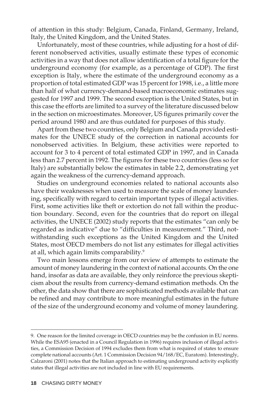of attention in this study: Belgium, Canada, Finland, Germany, Ireland, Italy, the United Kingdom, and the United States.

Unfortunately, most of these countries, while adjusting for a host of different nonobserved activities, usually estimate these types of economic activities in a way that does not allow identification of a total figure for the underground economy (for example, as a percentage of GDP). The first exception is Italy, where the estimate of the underground economy as a proportion of total estimated GDP was 15 percent for 1998, i.e., a little more than half of what currency-demand-based macroeconomic estimates suggested for 1997 and 1999. The second exception is the United States, but in this case the efforts are limited to a survey of the literature discussed below in the section on microestimates. Moreover, US figures primarily cover the period around 1980 and are thus outdated for purposes of this study.

Apart from these two countries, only Belgium and Canada provided estimates for the UNECE study of the correction in national accounts for nonobserved activities. In Belgium, these activities were reported to account for 3 to 4 percent of total estimated GDP in 1997, and in Canada less than 2.7 percent in 1992. The figures for these two countries (less so for Italy) are substantially below the estimates in table 2.2, demonstrating yet again the weakness of the currency-demand approach.

Studies on underground economies related to national accounts also have their weaknesses when used to measure the scale of money laundering, specifically with regard to certain important types of illegal activities. First, some activities like theft or extortion do not fall within the production boundary. Second, even for the countries that do report on illegal activities, the UNECE (2002) study reports that the estimates "can only be regarded as indicative" due to "difficulties in measurement." Third, notwithstanding such exceptions as the United Kingdom and the United States, most OECD members do not list any estimates for illegal activities at all, which again limits comparability.<sup>9</sup>

Two main lessons emerge from our review of attempts to estimate the amount of money laundering in the context of national accounts. On the one hand, insofar as data are available, they only reinforce the previous skepticism about the results from currency-demand estimation methods. On the other, the data show that there are sophisticated methods available that can be refined and may contribute to more meaningful estimates in the future of the size of the underground economy and volume of money laundering.

<sup>9.</sup> One reason for the limited coverage in OECD countries may be the confusion in EU norms. While the ESA95 (enacted in a Council Regulation in 1996) requires inclusion of illegal activities, a Commission Decision of 1994 excludes them from what is required of states to ensure complete national accounts (Art. 1 Commission Decision 94/168/EC, Euratom). Interestingly, Calzaroni (2001) notes that the Italian approach to estimating underground activity explicitly states that illegal activities are not included in line with EU requirements.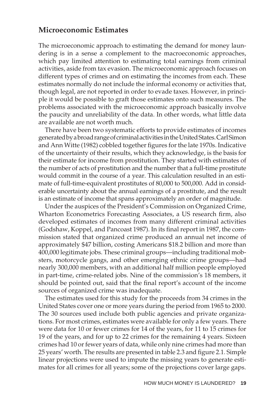#### **Microeconomic Estimates**

The microeconomic approach to estimating the demand for money laundering is in a sense a complement to the macroeconomic approaches, which pay limited attention to estimating total earnings from criminal activities, aside from tax evasion. The microeconomic approach focuses on different types of crimes and on estimating the incomes from each. These estimates normally do not include the informal economy or activities that, though legal, are not reported in order to evade taxes. However, in principle it would be possible to graft those estimates onto such measures. The problems associated with the microeconomic approach basically involve the paucity and unreliability of the data. In other words, what little data are available are not worth much.

There have been two systematic efforts to provide estimates of incomes generatedbyabroadrangeofcriminalactivitiesintheUnitedStates.CarlSimon and Ann Witte (1982) cobbled together figures for the late 1970s. Indicative of the uncertainty of their results, which they acknowledge, is the basis for their estimate for income from prostitution. They started with estimates of the number of acts of prostitution and the number that a full-time prostitute would commit in the course of a year. This calculation resulted in an estimate of full-time-equivalent prostitutes of 80,000 to 500,000. Add in considerable uncertainty about the annual earnings of a prostitute, and the result is an estimate of income that spans approximately an order of magnitude.

Under the auspices of the President's Commission on Organized Crime, Wharton Econometrics Forecasting Associates, a US research firm, also developed estimates of incomes from many different criminal activities (Godshaw, Koppel, and Pancoast 1987). In its final report in 1987, the commission stated that organized crime produced an annual net income of approximately \$47 billion, costing Americans \$18.2 billion and more than 400,000 legitimate jobs. These criminal groups—including traditional mobsters, motorcycle gangs, and other emerging ethnic crime groups—had nearly 300,000 members, with an additional half million people employed in part-time, crime-related jobs. Nine of the commission's 18 members, it should be pointed out, said that the final report's account of the income sources of organized crime was inadequate.

The estimates used for this study for the proceeds from 34 crimes in the United States cover one or more years during the period from 1965 to 2000. The 30 sources used include both public agencies and private organizations. For most crimes, estimates were available for only a few years. There were data for 10 or fewer crimes for 14 of the years, for 11 to 15 crimes for 19 of the years, and for up to 22 crimes for the remaining 4 years. Sixteen crimes had 10 or fewer years of data, while only nine crimes had more than 25 years' worth. The results are presented in table 2.3 and figure 2.1. Simple linear projections were used to impute the missing years to generate estimates for all crimes for all years; some of the projections cover large gaps.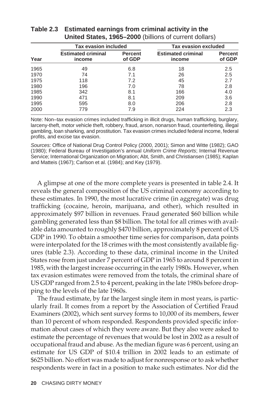|      | <b>Tax evasion included</b>         |                          | Tax evasion excluded                |                          |
|------|-------------------------------------|--------------------------|-------------------------------------|--------------------------|
| Year | <b>Estimated criminal</b><br>income | <b>Percent</b><br>of GDP | <b>Estimated criminal</b><br>income | <b>Percent</b><br>of GDP |
| 1965 | 49                                  | 6.8                      | 18                                  | 2.5                      |
| 1970 | 74                                  | 7.1                      | 26                                  | 2.5                      |
| 1975 | 118                                 | 7.2                      | 45                                  | 2.7                      |
| 1980 | 196                                 | 7.0                      | 78                                  | 2.8                      |
| 1985 | 342                                 | 8.1                      | 166                                 | 4.0                      |
| 1990 | 471                                 | 8.1                      | 209                                 | 3.6                      |
| 1995 | 595                                 | 8.0                      | 206                                 | 2.8                      |
| 2000 | 779                                 | 7.9                      | 224                                 | 2.3                      |

#### **Table 2.3 Estimated earnings from criminal activity in the United States, 1965–2000** (billions of current dollars)

Note: Non–tax evasion crimes included trafficking in illicit drugs, human trafficking, burglary, larceny-theft, motor vehicle theft, robbery, fraud, arson, nonarson fraud, counterfeiting, illegal gambling, loan sharking, and prostitution. Tax evasion crimes included federal income, federal profits, and excise tax evasion.

Sources: Office of National Drug Control Policy (2000, 2001); Simon and Witte (1982); GAO (1980); Federal Bureau of Investigation's annual Uniform Crime Reports; Internal Revenue Service; International Organization on Migration; Abt, Smith, and Christiansen (1985); Kaplan and Matteis (1967); Carlson et al. (1984); and Key (1979).

A glimpse at one of the more complete years is presented in table 2.4. It reveals the general composition of the US criminal economy according to these estimates. In 1990, the most lucrative crime (in aggregate) was drug trafficking (cocaine, heroin, marijuana, and other), which resulted in approximately \$97 billion in revenues. Fraud generated \$60 billion while gambling generated less than \$8 billion. The total for all crimes with available data amounted to roughly \$470 billion, approximately 8 percent of US GDP in 1990. To obtain a smoother time series for comparison, data points were interpolated for the 18 crimes with the most consistently available figures (table 2.3). According to these data, criminal income in the United States rose from just under 7 percent of GDP in 1965 to around 8 percent in 1985, with the largest increase occurring in the early 1980s. However, when tax evasion estimates were removed from the totals, the criminal share of US GDP ranged from 2.5 to 4 percent, peaking in the late 1980s before dropping to the levels of the late 1960s.

The fraud estimate, by far the largest single item in most years, is particularly frail. It comes from a report by the Association of Certified Fraud Examiners (2002), which sent survey forms to 10,000 of its members, fewer than 10 percent of whom responded. Respondents provided specific information about cases of which they were aware. But they also were asked to estimate the percentage of revenues that would be lost in 2002 as a result of occupational fraud and abuse. As the median figure was 6 percent, using an estimate for US GDP of \$10.4 trillion in 2002 leads to an estimate of \$625 billion. No effort was made to adjust for nonresponse or to ask whether respondents were in fact in a position to make such estimates. Nor did the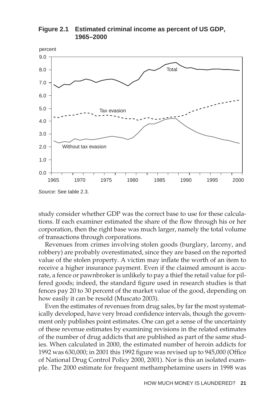

**Figure 2.1 Estimated criminal income as percent of US GDP, 1965–2000**

Source: See table 2.3.

study consider whether GDP was the correct base to use for these calculations. If each examiner estimated the share of the flow through his or her corporation, then the right base was much larger, namely the total volume of transactions through corporations.

Revenues from crimes involving stolen goods (burglary, larceny, and robbery) are probably overestimated, since they are based on the reported value of the stolen property. A victim may inflate the worth of an item to receive a higher insurance payment. Even if the claimed amount is accurate, a fence or pawnbroker is unlikely to pay a thief the retail value for pilfered goods; indeed, the standard figure used in research studies is that fences pay 20 to 30 percent of the market value of the good, depending on how easily it can be resold (Muscato 2003).

Even the estimates of revenues from drug sales, by far the most systematically developed, have very broad confidence intervals, though the government only publishes point estimates. One can get a sense of the uncertainty of these revenue estimates by examining revisions in the related estimates of the number of drug addicts that are published as part of the same studies. When calculated in 2000, the estimated number of heroin addicts for 1992 was 630,000; in 2001 this 1992 figure was revised up to 945,000 (Office of National Drug Control Policy 2000, 2001). Nor is this an isolated example. The 2000 estimate for frequent methamphetamine users in 1998 was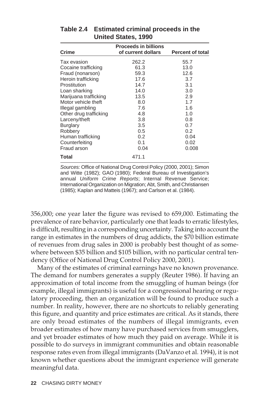| Crime                  | <b>Proceeds in billions</b><br>of current dollars | <b>Percent of total</b> |
|------------------------|---------------------------------------------------|-------------------------|
| Tax evasion            | 262.2                                             | 55.7                    |
| Cocaine trafficking    | 61.3                                              | 13.0                    |
| Fraud (nonarson)       | 59.3                                              | 12.6                    |
| Heroin trafficking     | 17.6                                              | 3.7                     |
| Prostitution           | 14.7                                              | 3.1                     |
| Loan sharking          | 14.0                                              | 3.0                     |
| Marijuana trafficking  | 13.5                                              | 2.9                     |
| Motor vehicle theft    | 8.0                                               | 1.7                     |
| Illegal gambling       | 7.6                                               | 1.6                     |
| Other drug trafficking | 4.8                                               | 1.0                     |
| Larceny/theft          | 3.8                                               | 0.8                     |
| <b>Burglary</b>        | 3.5                                               | 0.7                     |
| Robbery                | 0.5                                               | 0.2                     |
| Human trafficking      | 0.2                                               | 0.04                    |
| Counterfeiting         | 0.1                                               | 0.02                    |
| Fraud arson            | 0.04                                              | 0.008                   |
| Total                  | 471.1                                             |                         |

#### **Table 2.4 Estimated criminal proceeds in the United States, 1990**

Sources: Office of National Drug Control Policy (2000, 2001); Simon and Witte (1982); GAO (1980); Federal Bureau of Investigation's annual Uniform Crime Reports; Internal Revenue Service; International Organization on Migration; Abt, Smith, and Christiansen (1985); Kaplan and Matteis (1967); and Carlson et al. (1984).

356,000; one year later the figure was revised to 659,000. Estimating the prevalence of rare behavior, particularly one that leads to erratic lifestyles, is difficult, resulting in a corresponding uncertainty. Taking into account the range in estimates in the numbers of drug addicts, the \$70 billion estimate of revenues from drug sales in 2000 is probably best thought of as somewhere between \$35 billion and \$105 billion, with no particular central tendency (Office of National Drug Control Policy 2000, 2001).

Many of the estimates of criminal earnings have no known provenance. The demand for numbers generates a supply (Reuter 1986). If having an approximation of total income from the smuggling of human beings (for example, illegal immigrants) is useful for a congressional hearing or regulatory proceeding, then an organization will be found to produce such a number. In reality, however, there are no shortcuts to reliably generating this figure, and quantity and price estimates are critical. As it stands, there are only broad estimates of the numbers of illegal immigrants, even broader estimates of how many have purchased services from smugglers, and yet broader estimates of how much they paid on average. While it is possible to do surveys in immigrant communities and obtain reasonable response rates even from illegal immigrants (DaVanzo et al. 1994), it is not known whether questions about the immigrant experience will generate meaningful data.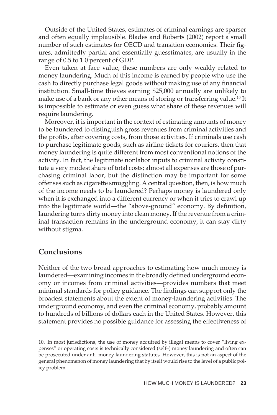Outside of the United States, estimates of criminal earnings are sparser and often equally implausible. Blades and Roberts (2002) report a small number of such estimates for OECD and transition economies. Their figures, admittedly partial and essentially guesstimates, are usually in the range of 0.5 to 1.0 percent of GDP.

Even taken at face value, these numbers are only weakly related to money laundering. Much of this income is earned by people who use the cash to directly purchase legal goods without making use of any financial institution. Small-time thieves earning \$25,000 annually are unlikely to make use of a bank or any other means of storing or transferring value.<sup>10</sup> It is impossible to estimate or even guess what share of these revenues will require laundering.

Moreover, it is important in the context of estimating amounts of money to be laundered to distinguish gross revenues from criminal activities and the profits, after covering costs, from those activities. If criminals use cash to purchase legitimate goods, such as airline tickets for couriers, then that money laundering is quite different from most conventional notions of the activity. In fact, the legitimate nonlabor inputs to criminal activity constitute a very modest share of total costs; almost all expenses are those of purchasing criminal labor, but the distinction may be important for some offenses such as cigarette smuggling. A central question, then, is how much of the income needs to be laundered? Perhaps money is laundered only when it is exchanged into a different currency or when it tries to crawl up into the legitimate world—the "above-ground" economy. By definition, laundering turns dirty money into clean money. If the revenue from a criminal transaction remains in the underground economy, it can stay dirty without stigma.

#### **Conclusions**

Neither of the two broad approaches to estimating how much money is laundered—examining incomes in the broadly defined underground economy or incomes from criminal activities—provides numbers that meet minimal standards for policy guidance. The findings can support only the broadest statements about the extent of money-laundering activities. The underground economy, and even the criminal economy, probably amount to hundreds of billions of dollars each in the United States. However, this statement provides no possible guidance for assessing the effectiveness of

<sup>10.</sup> In most jurisdictions, the use of money acquired by illegal means to cover "living expenses" or operating costs is technically considered (self–) money laundering and often can be prosecuted under anti–money laundering statutes. However, this is not an aspect of the general phenomenon of money laundering that by itself would rise to the level of a public policy problem.